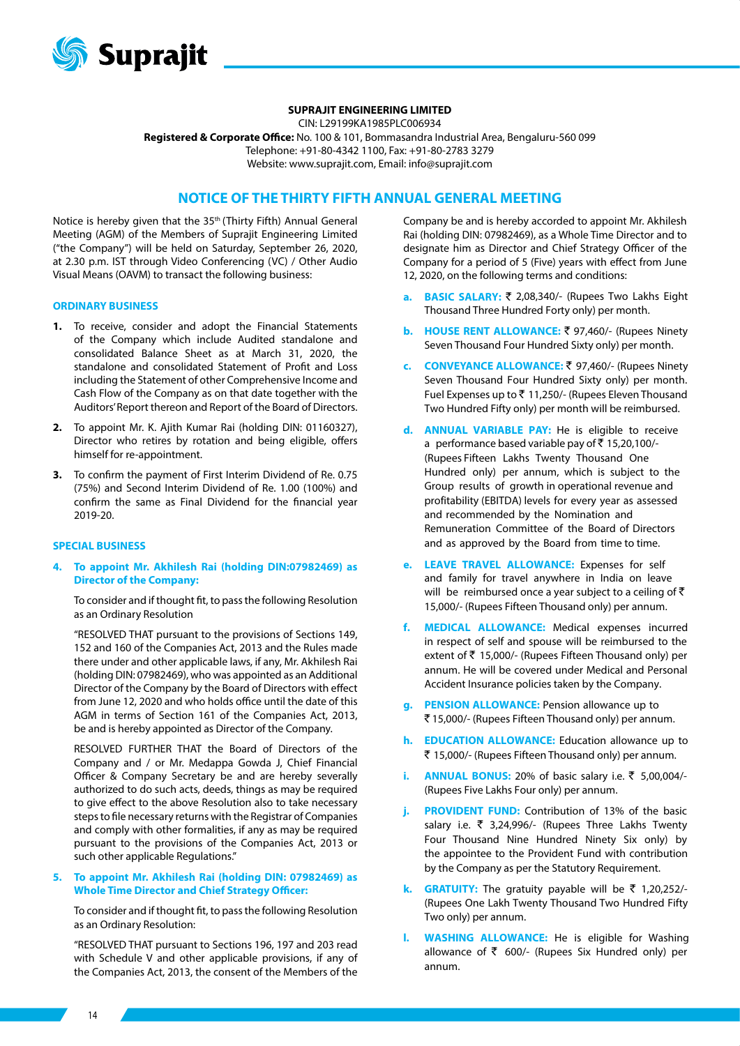

### **SUPRAJIT ENGINEERING LIMITED**

CIN: L29199KA1985PLC006934 **Registered & Corporate Office:** No. 100 & 101, Bommasandra Industrial Area, Bengaluru-560 099 Telephone: +91-80-4342 1100, Fax: +91-80-2783 3279 Website: www.suprajit.com, Email: info@suprajit.com

# **NOTICE OF THE THIRTY FIFTH ANNUAL GENERAL MEETING**

Notice is hereby given that the 35th (Thirty Fifth) Annual General Meeting (AGM) of the Members of Suprajit Engineering Limited ("the Company") will be held on Saturday, September 26, 2020, at 2.30 p.m. IST through Video Conferencing (VC) / Other Audio Visual Means (OAVM) to transact the following business:

#### **ORDINARY BUSINESS**

- **1.** To receive, consider and adopt the Financial Statements of the Company which include Audited standalone and consolidated Balance Sheet as at March 31, 2020, the standalone and consolidated Statement of Profit and Loss including the Statement of other Comprehensive Income and Cash Flow of the Company as on that date together with the Auditors' Report thereon and Report of the Board of Directors.
- **2.** To appoint Mr. K. Ajith Kumar Rai (holding DIN: 01160327), Director who retires by rotation and being eligible, offers himself for re-appointment.
- **3.** To confirm the payment of First Interim Dividend of Re. 0.75 (75%) and Second Interim Dividend of Re. 1.00 (100%) and confirm the same as Final Dividend for the financial year 2019-20.

#### **SPECIAL BUSINESS**

**4. To appoint Mr. Akhilesh Rai (holding DIN:07982469) as Director of the Company:**

To consider and if thought fit, to pass the following Resolution as an Ordinary Resolution

"RESOLVED THAT pursuant to the provisions of Sections 149, 152 and 160 of the Companies Act, 2013 and the Rules made there under and other applicable laws, if any, Mr. Akhilesh Rai (holding DIN: 07982469), who was appointed as an Additional Director of the Company by the Board of Directors with effect from June 12, 2020 and who holds office until the date of this AGM in terms of Section 161 of the Companies Act, 2013, be and is hereby appointed as Director of the Company.

RESOLVED FURTHER THAT the Board of Directors of the Company and / or Mr. Medappa Gowda J, Chief Financial Officer & Company Secretary be and are hereby severally authorized to do such acts, deeds, things as may be required to give effect to the above Resolution also to take necessary steps to file necessary returns with the Registrar of Companies and comply with other formalities, if any as may be required pursuant to the provisions of the Companies Act, 2013 or such other applicable Regulations."

### **5. To appoint Mr. Akhilesh Rai (holding DIN: 07982469) as Whole Time Director and Chief Strategy Officer:**

To consider and if thought fit, to pass the following Resolution as an Ordinary Resolution:

"RESOLVED THAT pursuant to Sections 196, 197 and 203 read with Schedule V and other applicable provisions, if any of the Companies Act, 2013, the consent of the Members of the Company be and is hereby accorded to appoint Mr. Akhilesh Rai (holding DIN: 07982469), as a Whole Time Director and to designate him as Director and Chief Strategy Officer of the Company for a period of 5 (Five) years with effect from June 12, 2020, on the following terms and conditions:

- **a. BASIC SALARY:** ` 2,08,340/- (Rupees Two Lakhs Eight Thousand Three Hundred Forty only) per month.
- **b. HOUSE RENT ALLOWANCE:** ₹ 97,460/- (Rupees Ninety Seven Thousand Four Hundred Sixty only) per month.
- **c. CONVEYANCE ALLOWANCE:** ` 97,460/- (Rupees Ninety Seven Thousand Four Hundred Sixty only) per month. Fuel Expenses up to  $\bar{z}$  11,250/- (Rupees Eleven Thousand Two Hundred Fifty only) per month will be reimbursed.
- **d. ANNUAL VARIABLE PAY:** He is eligible to receive a performance based variable pay of  $\bar{z}$  15,20,100/-(Rupees Fifteen Lakhs Twenty Thousand One Hundred only) per annum, which is subject to the Group results of growth in operational revenue and profitability (EBITDA) levels for every year as assessed and recommended by the Nomination and Remuneration Committee of the Board of Directors and as approved by the Board from time to time.
- **e. LEAVE TRAVEL ALLOWANCE:** Expenses for self and family for travel anywhere in India on leave will be reimbursed once a year subject to a ceiling of  $\bar{z}$ 15,000/- (Rupees Fifteen Thousand only) per annum.
- **f. MEDICAL ALLOWANCE:** Medical expenses incurred in respect of self and spouse will be reimbursed to the extent of  $\bar{z}$  15,000/- (Rupees Fifteen Thousand only) per annum. He will be covered under Medical and Personal Accident Insurance policies taken by the Company.
- **g. PENSION ALLOWANCE:** Pension allowance up to ` 15,000/- (Rupees Fifteen Thousand only) per annum.
- **h. EDUCATION ALLOWANCE:** Education allowance up to ` 15,000/- (Rupees Fifteen Thousand only) per annum.
- **i. ANNUAL BONUS:** 20% of basic salary i.e. ₹ 5,00,004/-(Rupees Five Lakhs Four only) per annum.
- **j. PROVIDENT FUND:** Contribution of 13% of the basic salary i.e.  $\overline{\zeta}$  3,24,996/- (Rupees Three Lakhs Twenty Four Thousand Nine Hundred Ninety Six only) by the appointee to the Provident Fund with contribution by the Company as per the Statutory Requirement.
- **k. GRATUITY:** The gratuity payable will be ₹ 1,20,252/-(Rupees One Lakh Twenty Thousand Two Hundred Fifty Two only) per annum.
- **WASHING ALLOWANCE:** He is eligible for Washing allowance of  $\bar{z}$  600/- (Rupees Six Hundred only) per annum.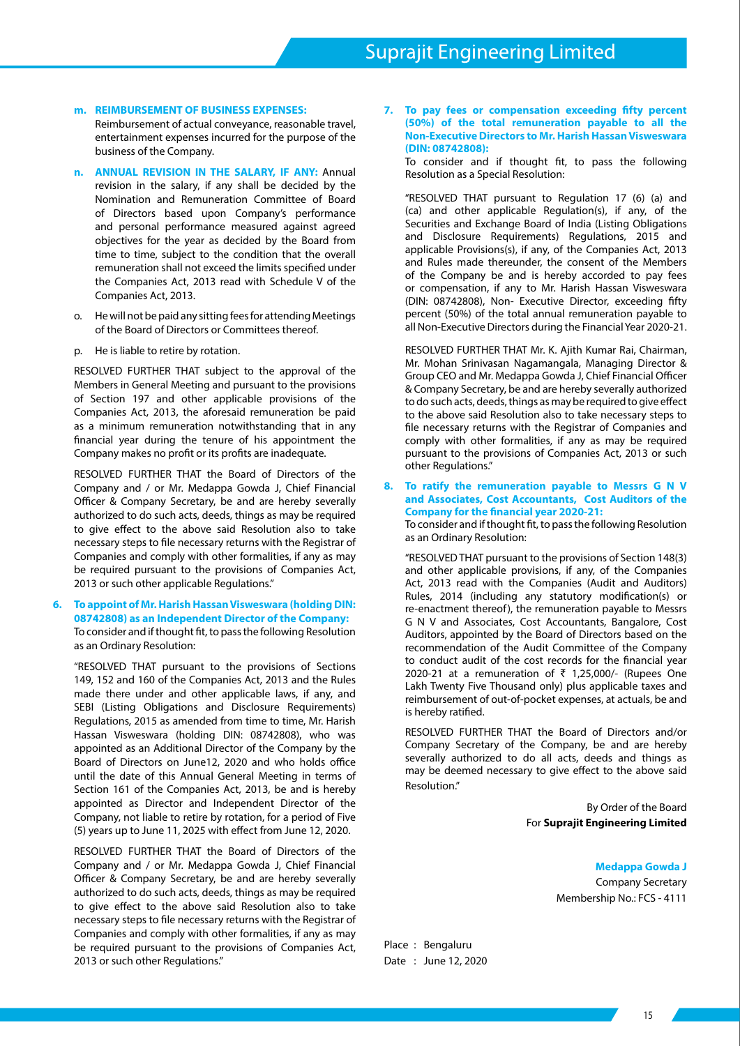### **m. REIMBURSEMENT OF BUSINESS EXPENSES:**

Reimbursement of actual conveyance, reasonable travel, entertainment expenses incurred for the purpose of the business of the Company.

- **n. ANNUAL REVISION IN THE SALARY, IF ANY:** Annual revision in the salary, if any shall be decided by the Nomination and Remuneration Committee of Board of Directors based upon Company's performance and personal performance measured against agreed objectives for the year as decided by the Board from time to time, subject to the condition that the overall remuneration shall not exceed the limits specified under the Companies Act, 2013 read with Schedule V of the Companies Act, 2013.
- o. He will not be paid any sitting fees for attending Meetings of the Board of Directors or Committees thereof.
- p. He is liable to retire by rotation.

RESOLVED FURTHER THAT subject to the approval of the Members in General Meeting and pursuant to the provisions of Section 197 and other applicable provisions of the Companies Act, 2013, the aforesaid remuneration be paid as a minimum remuneration notwithstanding that in any financial year during the tenure of his appointment the Company makes no profit or its profits are inadequate.

RESOLVED FURTHER THAT the Board of Directors of the Company and / or Mr. Medappa Gowda J, Chief Financial Officer & Company Secretary, be and are hereby severally authorized to do such acts, deeds, things as may be required to give effect to the above said Resolution also to take necessary steps to file necessary returns with the Registrar of Companies and comply with other formalities, if any as may be required pursuant to the provisions of Companies Act, 2013 or such other applicable Regulations."

## **6. To appoint of Mr. Harish Hassan Visweswara (holding DIN: 08742808) as an Independent Director of the Company:** To consider and if thought fit, to pass the following Resolution as an Ordinary Resolution:

"RESOLVED THAT pursuant to the provisions of Sections 149, 152 and 160 of the Companies Act, 2013 and the Rules made there under and other applicable laws, if any, and SEBI (Listing Obligations and Disclosure Requirements) Regulations, 2015 as amended from time to time, Mr. Harish Hassan Visweswara (holding DIN: 08742808), who was appointed as an Additional Director of the Company by the Board of Directors on June12, 2020 and who holds office until the date of this Annual General Meeting in terms of Section 161 of the Companies Act, 2013, be and is hereby appointed as Director and Independent Director of the Company, not liable to retire by rotation, for a period of Five (5) years up to June 11, 2025 with effect from June 12, 2020.

RESOLVED FURTHER THAT the Board of Directors of the Company and / or Mr. Medappa Gowda J, Chief Financial Officer & Company Secretary, be and are hereby severally authorized to do such acts, deeds, things as may be required to give effect to the above said Resolution also to take necessary steps to file necessary returns with the Registrar of Companies and comply with other formalities, if any as may be required pursuant to the provisions of Companies Act, 2013 or such other Regulations."

**7. To pay fees or compensation exceeding fifty percent (50%) of the total remuneration payable to all the Non-Executive Directors to Mr. Harish Hassan Visweswara (DIN: 08742808):**

To consider and if thought fit, to pass the following Resolution as a Special Resolution:

"RESOLVED THAT pursuant to Regulation 17 (6) (a) and (ca) and other applicable Regulation(s), if any, of the Securities and Exchange Board of India (Listing Obligations and Disclosure Requirements) Regulations, 2015 and applicable Provisions(s), if any, of the Companies Act, 2013 and Rules made thereunder, the consent of the Members of the Company be and is hereby accorded to pay fees or compensation, if any to Mr. Harish Hassan Visweswara (DIN: 08742808), Non- Executive Director, exceeding fifty percent (50%) of the total annual remuneration payable to all Non-Executive Directors during the Financial Year 2020-21.

RESOLVED FURTHER THAT Mr. K. Ajith Kumar Rai, Chairman, Mr. Mohan Srinivasan Nagamangala, Managing Director & Group CEO and Mr. Medappa Gowda J, Chief Financial Officer & Company Secretary, be and are hereby severally authorized to do such acts, deeds, things as may be required to give effect to the above said Resolution also to take necessary steps to file necessary returns with the Registrar of Companies and comply with other formalities, if any as may be required pursuant to the provisions of Companies Act, 2013 or such other Regulations."

**8. To ratify the remuneration payable to Messrs G N V and Associates, Cost Accountants, Cost Auditors of the Company for the financial year 2020-21:** To consider and if thought fit, to pass the following Resolution

as an Ordinary Resolution:

"RESOLVED THAT pursuant to the provisions of Section 148(3) and other applicable provisions, if any, of the Companies Act, 2013 read with the Companies (Audit and Auditors) Rules, 2014 (including any statutory modification(s) or re-enactment thereof), the remuneration payable to Messrs G N V and Associates, Cost Accountants, Bangalore, Cost Auditors, appointed by the Board of Directors based on the recommendation of the Audit Committee of the Company to conduct audit of the cost records for the financial year 2020-21 at a remuneration of  $\bar{\tau}$  1,25,000/- (Rupees One Lakh Twenty Five Thousand only) plus applicable taxes and reimbursement of out-of-pocket expenses, at actuals, be and is hereby ratified.

RESOLVED FURTHER THAT the Board of Directors and/or Company Secretary of the Company, be and are hereby severally authorized to do all acts, deeds and things as may be deemed necessary to give effect to the above said Resolution."

> By Order of the Board For **Suprajit Engineering Limited**

> > **Medappa Gowda J** Company Secretary Membership No.: FCS - 4111

Place : Bengaluru Date : June 12, 2020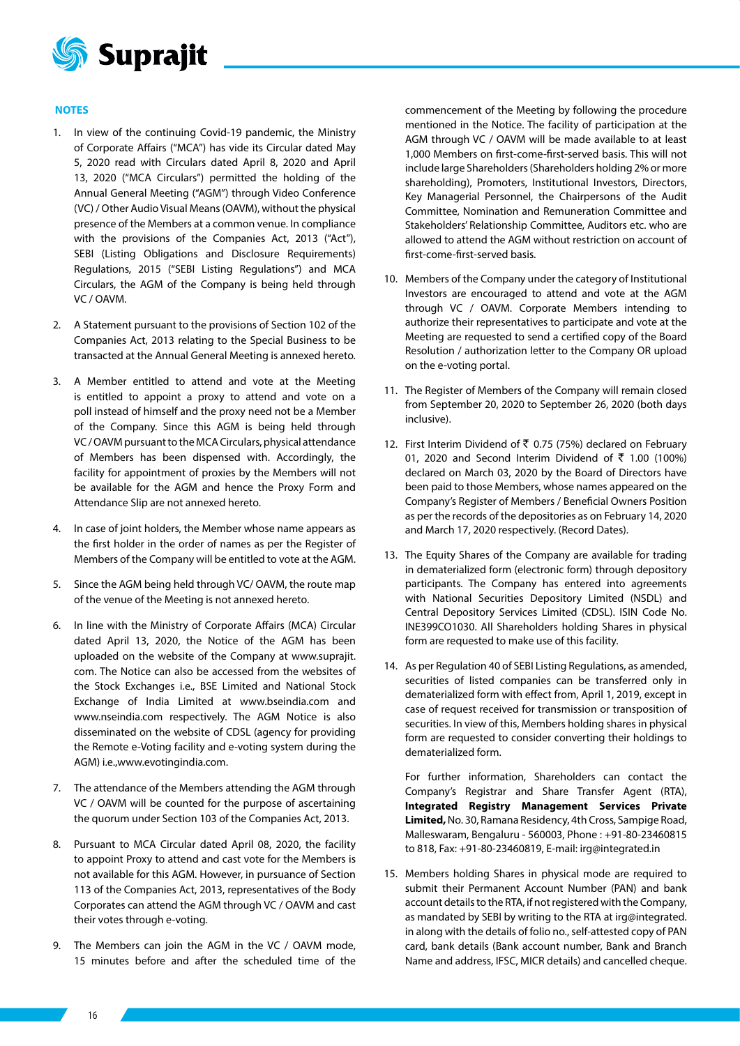

## **NOTES**

- 1. In view of the continuing Covid-19 pandemic, the Ministry of Corporate Affairs ("MCA") has vide its Circular dated May 5, 2020 read with Circulars dated April 8, 2020 and April 13, 2020 ("MCA Circulars") permitted the holding of the Annual General Meeting ("AGM") through Video Conference (VC) / Other Audio Visual Means (OAVM), without the physical presence of the Members at a common venue. In compliance with the provisions of the Companies Act, 2013 ("Act"), SEBI (Listing Obligations and Disclosure Requirements) Regulations, 2015 ("SEBI Listing Regulations") and MCA Circulars, the AGM of the Company is being held through VC / OAVM.
- 2. A Statement pursuant to the provisions of Section 102 of the Companies Act, 2013 relating to the Special Business to be transacted at the Annual General Meeting is annexed hereto.
- 3. A Member entitled to attend and vote at the Meeting is entitled to appoint a proxy to attend and vote on a poll instead of himself and the proxy need not be a Member of the Company. Since this AGM is being held through VC / OAVM pursuant to the MCA Circulars, physical attendance of Members has been dispensed with. Accordingly, the facility for appointment of proxies by the Members will not be available for the AGM and hence the Proxy Form and Attendance Slip are not annexed hereto.
- 4. In case of joint holders, the Member whose name appears as the first holder in the order of names as per the Register of Members of the Company will be entitled to vote at the AGM.
- 5. Since the AGM being held through VC/ OAVM, the route map of the venue of the Meeting is not annexed hereto.
- 6. In line with the Ministry of Corporate Affairs (MCA) Circular dated April 13, 2020, the Notice of the AGM has been uploaded on the website of the Company at www.suprajit. com. The Notice can also be accessed from the websites of the Stock Exchanges i.e., BSE Limited and National Stock Exchange of India Limited at www.bseindia.com and www.nseindia.com respectively. The AGM Notice is also disseminated on the website of CDSL (agency for providing the Remote e-Voting facility and e-voting system during the AGM) i.e.,www.evotingindia.com.
- 7. The attendance of the Members attending the AGM through VC / OAVM will be counted for the purpose of ascertaining the quorum under Section 103 of the Companies Act, 2013.
- 8. Pursuant to MCA Circular dated April 08, 2020, the facility to appoint Proxy to attend and cast vote for the Members is not available for this AGM. However, in pursuance of Section 113 of the Companies Act, 2013, representatives of the Body Corporates can attend the AGM through VC / OAVM and cast their votes through e-voting.
- 9. The Members can join the AGM in the VC / OAVM mode, 15 minutes before and after the scheduled time of the

commencement of the Meeting by following the procedure mentioned in the Notice. The facility of participation at the AGM through VC / OAVM will be made available to at least 1,000 Members on first-come-first-served basis. This will not include large Shareholders (Shareholders holding 2% or more shareholding), Promoters, Institutional Investors, Directors, Key Managerial Personnel, the Chairpersons of the Audit Committee, Nomination and Remuneration Committee and Stakeholders' Relationship Committee, Auditors etc. who are allowed to attend the AGM without restriction on account of first-come-first-served basis.

- 10. Members of the Company under the category of Institutional Investors are encouraged to attend and vote at the AGM through VC / OAVM. Corporate Members intending to authorize their representatives to participate and vote at the Meeting are requested to send a certified copy of the Board Resolution / authorization letter to the Company OR upload on the e-voting portal.
- 11. The Register of Members of the Company will remain closed from September 20, 2020 to September 26, 2020 (both days inclusive).
- 12. First Interim Dividend of  $\bar{\bar{\xi}}$  0.75 (75%) declared on February 01, 2020 and Second Interim Dividend of ₹ 1.00 (100%) declared on March 03, 2020 by the Board of Directors have been paid to those Members, whose names appeared on the Company's Register of Members / Beneficial Owners Position as per the records of the depositories as on February 14, 2020 and March 17, 2020 respectively. (Record Dates).
- 13. The Equity Shares of the Company are available for trading in dematerialized form (electronic form) through depository participants. The Company has entered into agreements with National Securities Depository Limited (NSDL) and Central Depository Services Limited (CDSL). ISIN Code No. INE399CO1030. All Shareholders holding Shares in physical form are requested to make use of this facility.
- 14. As per Regulation 40 of SEBI Listing Regulations, as amended, securities of listed companies can be transferred only in dematerialized form with effect from, April 1, 2019, except in case of request received for transmission or transposition of securities. In view of this, Members holding shares in physical form are requested to consider converting their holdings to dematerialized form.

For further information, Shareholders can contact the Company's Registrar and Share Transfer Agent (RTA), **Integrated Registry Management Services Private Limited,** No. 30, Ramana Residency, 4th Cross, Sampige Road, Malleswaram, Bengaluru - 560003, Phone : +91-80-23460815 to 818, Fax: +91-80-23460819, E-mail: irg@integrated.in

15. Members holding Shares in physical mode are required to submit their Permanent Account Number (PAN) and bank account details to the RTA, if not registered with the Company, as mandated by SEBI by writing to the RTA at irg@integrated. in along with the details of folio no., self-attested copy of PAN card, bank details (Bank account number, Bank and Branch Name and address, IFSC, MICR details) and cancelled cheque.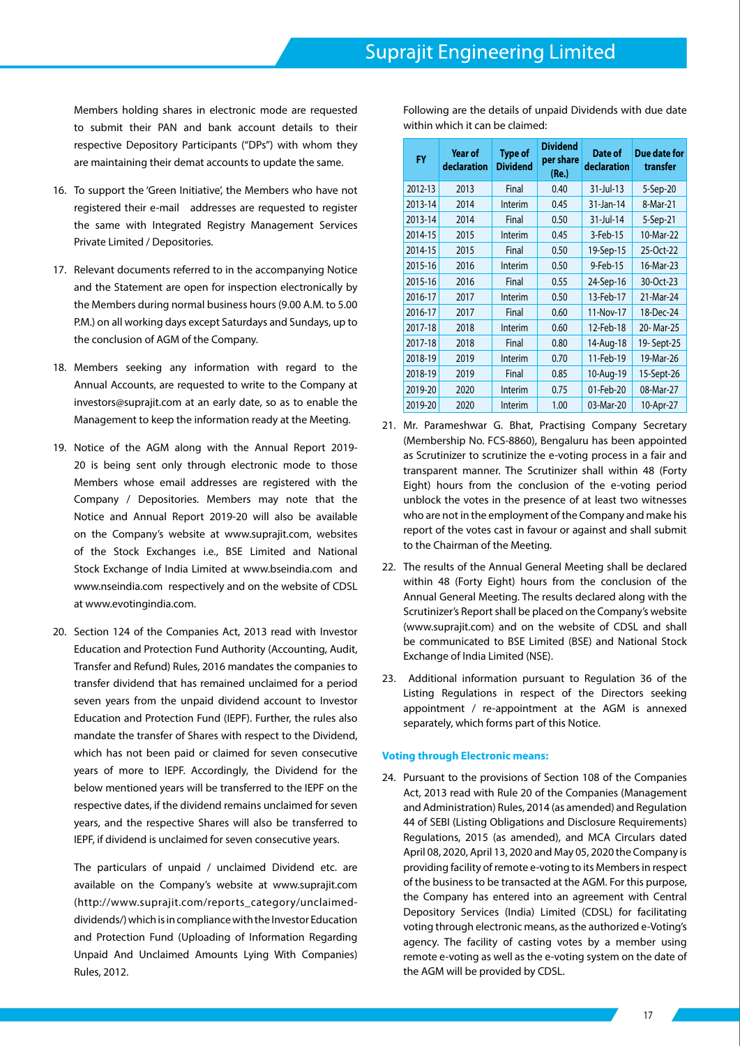Members holding shares in electronic mode are requested to submit their PAN and bank account details to their respective Depository Participants ("DPs") with whom they are maintaining their demat accounts to update the same.

- 16. To support the 'Green Initiative', the Members who have not registered their e-mail addresses are requested to register the same with Integrated Registry Management Services Private Limited / Depositories.
- 17. Relevant documents referred to in the accompanying Notice and the Statement are open for inspection electronically by the Members during normal business hours (9.00 A.M. to 5.00 P.M.) on all working days except Saturdays and Sundays, up to the conclusion of AGM of the Company.
- 18. Members seeking any information with regard to the Annual Accounts, are requested to write to the Company at investors@suprajit.com at an early date, so as to enable the Management to keep the information ready at the Meeting.
- 19. Notice of the AGM along with the Annual Report 2019- 20 is being sent only through electronic mode to those Members whose email addresses are registered with the Company / Depositories. Members may note that the Notice and Annual Report 2019-20 will also be available on the Company's website at www.suprajit.com, websites of the Stock Exchanges i.e., BSE Limited and National Stock Exchange of India Limited at www.bseindia.com and www.nseindia.com respectively and on the website of CDSL at www.evotingindia.com.
- 20. Section 124 of the Companies Act, 2013 read with Investor Education and Protection Fund Authority (Accounting, Audit, Transfer and Refund) Rules, 2016 mandates the companies to transfer dividend that has remained unclaimed for a period seven years from the unpaid dividend account to Investor Education and Protection Fund (IEPF). Further, the rules also mandate the transfer of Shares with respect to the Dividend, which has not been paid or claimed for seven consecutive years of more to IEPF. Accordingly, the Dividend for the below mentioned years will be transferred to the IEPF on the respective dates, if the dividend remains unclaimed for seven years, and the respective Shares will also be transferred to IEPF, if dividend is unclaimed for seven consecutive years.

The particulars of unpaid / unclaimed Dividend etc. are available on the Company's website at www.suprajit.com (http://www.suprajit.com/reports\_category/unclaimeddividends/) which is in compliance with the Investor Education and Protection Fund (Uploading of Information Regarding Unpaid And Unclaimed Amounts Lying With Companies) Rules, 2012.

Following are the details of unpaid Dividends with due date within which it can be claimed:

| <b>FY</b> | <b>Year of</b><br>declaration | <b>Type of</b><br><b>Dividend</b> | <b>Dividend</b><br>per share<br>(Re.) | Date of<br>declaration | Due date for<br>transfer |
|-----------|-------------------------------|-----------------------------------|---------------------------------------|------------------------|--------------------------|
| 2012-13   | 2013                          | Final                             | 0.40                                  | 31-Jul-13              | 5-Sep-20                 |
| 2013-14   | 2014                          | Interim                           | 0.45                                  | 31-Jan-14              | 8-Mar-21                 |
| 2013-14   | 2014                          | Final                             | 0.50                                  | 31-Jul-14              | 5-Sep-21                 |
| 2014-15   | 2015                          | Interim                           | 0.45                                  | 3-Feb-15               | 10-Mar-22                |
| 2014-15   | 2015                          | Final                             | 0.50                                  | 19-Sep-15              | 25-Oct-22                |
| 2015-16   | 2016                          | Interim                           | 0.50                                  | 9-Feb-15               | 16-Mar-23                |
| 2015-16   | 2016                          | Final                             | 0.55                                  | 24-Sep-16              | 30-Oct-23                |
| 2016-17   | 2017                          | Interim                           | 0.50                                  | 13-Feb-17              | 21-Mar-24                |
| 2016-17   | 2017                          | Final                             | 0.60                                  | 11-Nov-17              | 18-Dec-24                |
| 2017-18   | 2018                          | Interim                           | 0.60                                  | 12-Feb-18              | 20-Mar-25                |
| 2017-18   | 2018                          | Final                             | 0.80                                  | 14-Aug-18              | 19-Sept-25               |
| 2018-19   | 2019                          | Interim                           | 0.70                                  | 11-Feb-19              | 19-Mar-26                |
| 2018-19   | 2019                          | Final                             | 0.85                                  | 10-Aug-19              | 15-Sept-26               |
| 2019-20   | 2020                          | Interim                           | 0.75                                  | 01-Feb-20              | 08-Mar-27                |
| 2019-20   | 2020                          | Interim                           | 1.00                                  | 03-Mar-20              | 10-Apr-27                |

- 21. Mr. Parameshwar G. Bhat, Practising Company Secretary (Membership No. FCS-8860), Bengaluru has been appointed as Scrutinizer to scrutinize the e-voting process in a fair and transparent manner. The Scrutinizer shall within 48 (Forty Eight) hours from the conclusion of the e-voting period unblock the votes in the presence of at least two witnesses who are not in the employment of the Company and make his report of the votes cast in favour or against and shall submit to the Chairman of the Meeting.
- 22. The results of the Annual General Meeting shall be declared within 48 (Forty Eight) hours from the conclusion of the Annual General Meeting. The results declared along with the Scrutinizer's Report shall be placed on the Company's website (www.suprajit.com) and on the website of CDSL and shall be communicated to BSE Limited (BSE) and National Stock Exchange of India Limited (NSE).
- 23. Additional information pursuant to Regulation 36 of the Listing Regulations in respect of the Directors seeking appointment / re-appointment at the AGM is annexed separately, which forms part of this Notice.

## **Voting through Electronic means:**

24. Pursuant to the provisions of Section 108 of the Companies Act, 2013 read with Rule 20 of the Companies (Management and Administration) Rules, 2014 (as amended) and Regulation 44 of SEBI (Listing Obligations and Disclosure Requirements) Regulations, 2015 (as amended), and MCA Circulars dated April 08, 2020, April 13, 2020 and May 05, 2020 the Company is providing facility of remote e-voting to its Members in respect of the business to be transacted at the AGM. For this purpose, the Company has entered into an agreement with Central Depository Services (India) Limited (CDSL) for facilitating voting through electronic means, as the authorized e-Voting's agency. The facility of casting votes by a member using remote e-voting as well as the e-voting system on the date of the AGM will be provided by CDSL.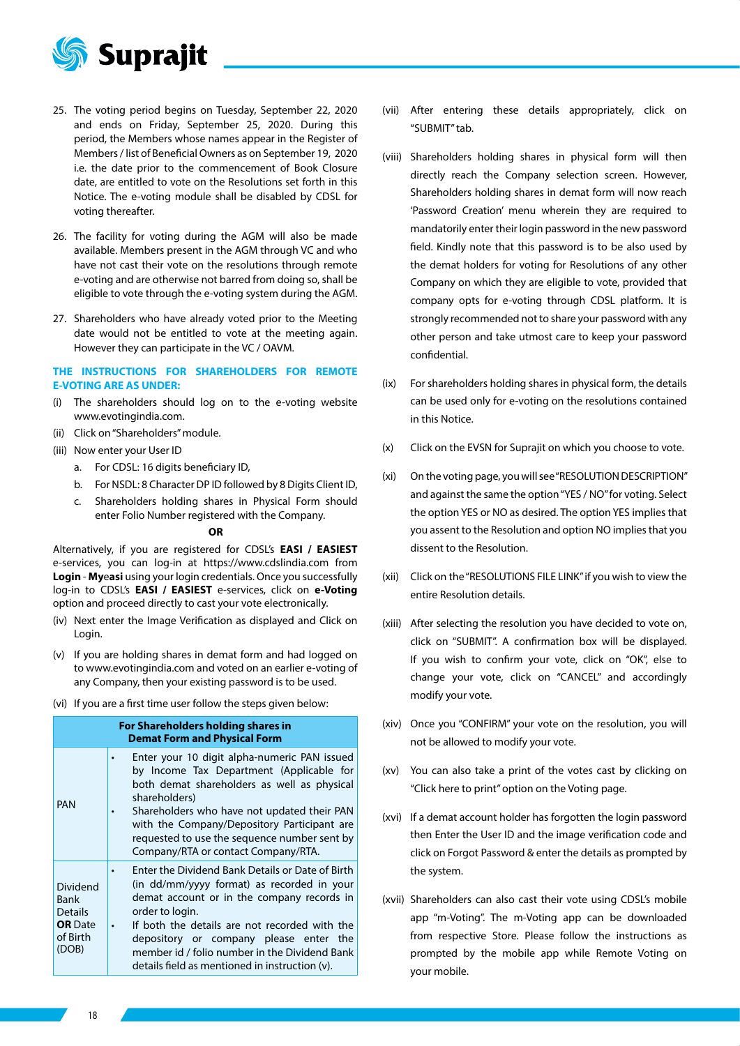

- 25. The voting period begins on Tuesday, September 22, 2020 and ends on Friday, September 25, 2020. During this period, the Members whose names appear in the Register of Members / list of Beneficial Owners as on September 19, 2020 i.e. the date prior to the commencement of Book Closure date, are entitled to vote on the Resolutions set forth in this Notice. The e-voting module shall be disabled by CDSL for voting thereafter.
- 26. The facility for voting during the AGM will also be made available. Members present in the AGM through VC and who have not cast their vote on the resolutions through remote e-voting and are otherwise not barred from doing so, shall be eligible to vote through the e-voting system during the AGM.
- 27. Shareholders who have already voted prior to the Meeting date would not be entitled to vote at the meeting again. However they can participate in the VC / OAVM.

## **THE INSTRUCTIONS FOR SHAREHOLDERS FOR REMOTE E-VOTING ARE AS UNDER:**

- (i) The shareholders should log on to the e-voting website www.evotingindia.com.
- (ii) Click on "Shareholders" module.
- (iii) Now enter your User ID
	- a. For CDSL: 16 digits beneficiary ID,
	- b. For NSDL: 8 Character DP ID followed by 8 Digits Client ID,
	- c. Shareholders holding shares in Physical Form should enter Folio Number registered with the Company.

### **OR**

Alternatively, if you are registered for CDSL's **EASI / EASIEST** e-services, you can log-in at https://www.cdslindia.com from **Login** - **My**e**asi** using your login credentials. Once you successfully log-in to CDSL's **EASI / EASIEST** e-services, click on **e-Voting** option and proceed directly to cast your vote electronically.

- (iv) Next enter the Image Verification as displayed and Click on Login.
- (v) If you are holding shares in demat form and had logged on to www.evotingindia.com and voted on an earlier e-voting of any Company, then your existing password is to be used.
- (vi) If you are a first time user follow the steps given below:

| For Shareholders holding shares in<br><b>Demat Form and Physical Form</b> |                                                                                                                                                                                                                                                                                                                                                               |  |  |  |  |
|---------------------------------------------------------------------------|---------------------------------------------------------------------------------------------------------------------------------------------------------------------------------------------------------------------------------------------------------------------------------------------------------------------------------------------------------------|--|--|--|--|
| <b>PAN</b>                                                                | Enter your 10 digit alpha-numeric PAN issued<br>by Income Tax Department (Applicable for<br>both demat shareholders as well as physical<br>shareholders)<br>Shareholders who have not updated their PAN<br>$\bullet$<br>with the Company/Depository Participant are<br>requested to use the sequence number sent by<br>Company/RTA or contact Company/RTA.    |  |  |  |  |
| Dividend<br>Bank<br>Details<br><b>OR</b> Date<br>of Birth<br>(DOB)        | Enter the Dividend Bank Details or Date of Birth<br>(in dd/mm/yyyy format) as recorded in your<br>demat account or in the company records in<br>order to login.<br>If both the details are not recorded with the<br>depository or company please enter the<br>member id / folio number in the Dividend Bank<br>details field as mentioned in instruction (v). |  |  |  |  |

- (vii) After entering these details appropriately, click on "SUBMIT" tab.
- (viii) Shareholders holding shares in physical form will then directly reach the Company selection screen. However, Shareholders holding shares in demat form will now reach 'Password Creation' menu wherein they are required to mandatorily enter their login password in the new password field. Kindly note that this password is to be also used by the demat holders for voting for Resolutions of any other Company on which they are eligible to vote, provided that company opts for e-voting through CDSL platform. It is strongly recommended not to share your password with any other person and take utmost care to keep your password confidential.
- (ix) For shareholders holding shares in physical form, the details can be used only for e-voting on the resolutions contained in this Notice.
- (x) Click on the EVSN for Suprajit on which you choose to vote.
- (xi) On the voting page, you will see "RESOLUTION DESCRIPTION" and against the same the option "YES / NO" for voting. Select the option YES or NO as desired. The option YES implies that you assent to the Resolution and option NO implies that you dissent to the Resolution.
- (xii) Click on the "RESOLUTIONS FILE LINK" if you wish to view the entire Resolution details.
- (xiii) After selecting the resolution you have decided to vote on, click on "SUBMIT". A confirmation box will be displayed. If you wish to confirm your vote, click on "OK", else to change your vote, click on "CANCEL" and accordingly modify your vote.
- (xiv) Once you "CONFIRM" your vote on the resolution, you will not be allowed to modify your vote.
- (xv) You can also take a print of the votes cast by clicking on "Click here to print" option on the Voting page.
- (xvi) If a demat account holder has forgotten the login password then Enter the User ID and the image verification code and click on Forgot Password & enter the details as prompted by the system.
- (xvii) Shareholders can also cast their vote using CDSL's mobile app "m-Voting". The m-Voting app can be downloaded from respective Store. Please follow the instructions as prompted by the mobile app while Remote Voting on your mobile.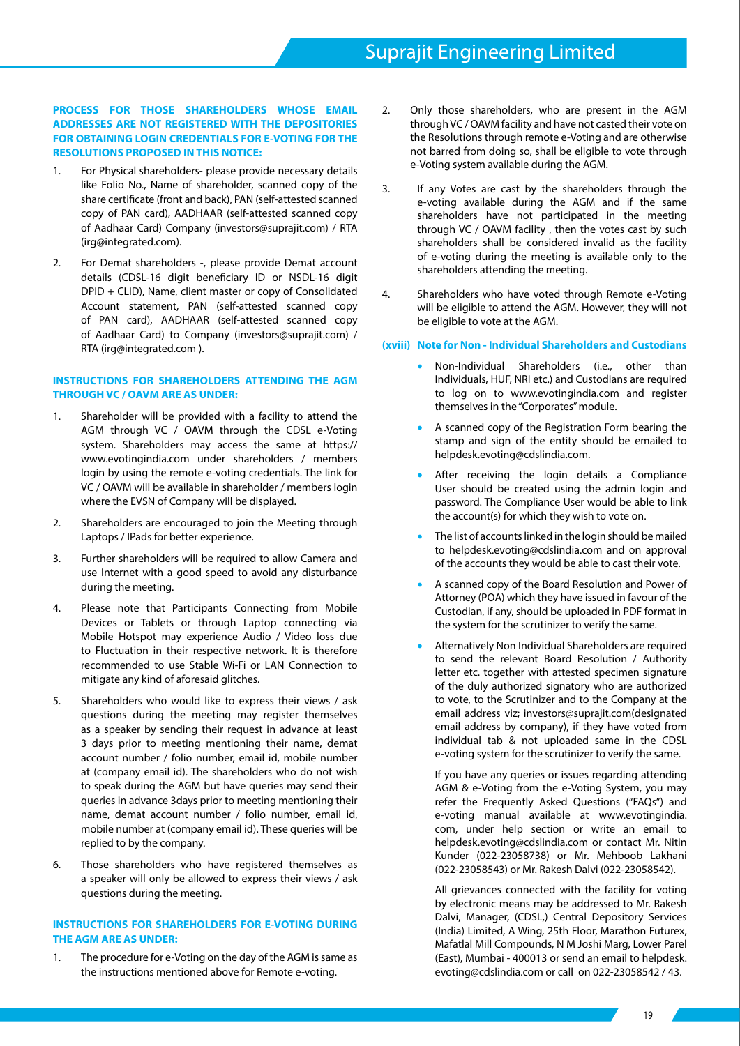# **PROCESS FOR THOSE SHAREHOLDERS WHOSE EMAIL ADDRESSES ARE NOT REGISTERED WITH THE DEPOSITORIES FOR OBTAINING LOGIN CREDENTIALS FOR E-VOTING FOR THE RESOLUTIONS PROPOSED IN THIS NOTICE:**

- 1. For Physical shareholders- please provide necessary details like Folio No., Name of shareholder, scanned copy of the share certificate (front and back), PAN (self-attested scanned copy of PAN card), AADHAAR (self-attested scanned copy of Aadhaar Card) Company (investors@suprajit.com) / RTA (irg@integrated.com).
- 2. For Demat shareholders -, please provide Demat account details (CDSL-16 digit beneficiary ID or NSDL-16 digit DPID + CLID), Name, client master or copy of Consolidated Account statement, PAN (self-attested scanned copy of PAN card), AADHAAR (self-attested scanned copy of Aadhaar Card) to Company (investors@suprajit.com) / RTA (irg@integrated.com ).

# **INSTRUCTIONS FOR SHAREHOLDERS ATTENDING THE AGM THROUGH VC / OAVM ARE AS UNDER:**

- 1. Shareholder will be provided with a facility to attend the AGM through VC / OAVM through the CDSL e-Voting system. Shareholders may access the same at https:// www.evotingindia.com under shareholders / members login by using the remote e-voting credentials. The link for VC / OAVM will be available in shareholder / members login where the EVSN of Company will be displayed.
- 2. Shareholders are encouraged to join the Meeting through Laptops / IPads for better experience.
- 3. Further shareholders will be required to allow Camera and use Internet with a good speed to avoid any disturbance during the meeting.
- 4. Please note that Participants Connecting from Mobile Devices or Tablets or through Laptop connecting via Mobile Hotspot may experience Audio / Video loss due to Fluctuation in their respective network. It is therefore recommended to use Stable Wi-Fi or LAN Connection to mitigate any kind of aforesaid glitches.
- 5. Shareholders who would like to express their views / ask questions during the meeting may register themselves as a speaker by sending their request in advance at least 3 days prior to meeting mentioning their name, demat account number / folio number, email id, mobile number at (company email id). The shareholders who do not wish to speak during the AGM but have queries may send their queries in advance 3days prior to meeting mentioning their name, demat account number / folio number, email id, mobile number at (company email id). These queries will be replied to by the company.
- 6. Those shareholders who have registered themselves as a speaker will only be allowed to express their views / ask questions during the meeting.

# **INSTRUCTIONS FOR SHAREHOLDERS FOR E-VOTING DURING THE AGM ARE AS UNDER:**

1. The procedure for e-Voting on the day of the AGM is same as the instructions mentioned above for Remote e-voting.

- 2. Only those shareholders, who are present in the AGM through VC / OAVM facility and have not casted their vote on the Resolutions through remote e-Voting and are otherwise not barred from doing so, shall be eligible to vote through e-Voting system available during the AGM.
- 3. If any Votes are cast by the shareholders through the e-voting available during the AGM and if the same shareholders have not participated in the meeting through VC / OAVM facility , then the votes cast by such shareholders shall be considered invalid as the facility of e-voting during the meeting is available only to the shareholders attending the meeting.
- 4. Shareholders who have voted through Remote e-Voting will be eligible to attend the AGM. However, they will not be eligible to vote at the AGM.

# **(xviii) Note for Non - Individual Shareholders and Custodians**

- Non-Individual Shareholders (i.e., other than Individuals, HUF, NRI etc.) and Custodians are required to log on to www.evotingindia.com and register themselves in the "Corporates" module.
- A scanned copy of the Registration Form bearing the stamp and sign of the entity should be emailed to helpdesk.evoting@cdslindia.com.
- After receiving the login details a Compliance User should be created using the admin login and password. The Compliance User would be able to link the account(s) for which they wish to vote on.
- The list of accounts linked in the login should be mailed to helpdesk.evoting@cdslindia.com and on approval of the accounts they would be able to cast their vote.
- A scanned copy of the Board Resolution and Power of Attorney (POA) which they have issued in favour of the Custodian, if any, should be uploaded in PDF format in the system for the scrutinizer to verify the same.
- Alternatively Non Individual Shareholders are required to send the relevant Board Resolution / Authority letter etc. together with attested specimen signature of the duly authorized signatory who are authorized to vote, to the Scrutinizer and to the Company at the email address viz; investors@suprajit.com(designated email address by company), if they have voted from individual tab & not uploaded same in the CDSL e-voting system for the scrutinizer to verify the same.

If you have any queries or issues regarding attending AGM & e-Voting from the e-Voting System, you may refer the Frequently Asked Questions ("FAQs") and e-voting manual available at www.evotingindia. com, under help section or write an email to helpdesk.evoting@cdslindia.com or contact Mr. Nitin Kunder (022-23058738) or Mr. Mehboob Lakhani (022-23058543) or Mr. Rakesh Dalvi (022-23058542).

All grievances connected with the facility for voting by electronic means may be addressed to Mr. Rakesh Dalvi, Manager, (CDSL,) Central Depository Services (India) Limited, A Wing, 25th Floor, Marathon Futurex, Mafatlal Mill Compounds, N M Joshi Marg, Lower Parel (East), Mumbai - 400013 or send an email to helpdesk. evoting@cdslindia.com or call on 022-23058542 / 43.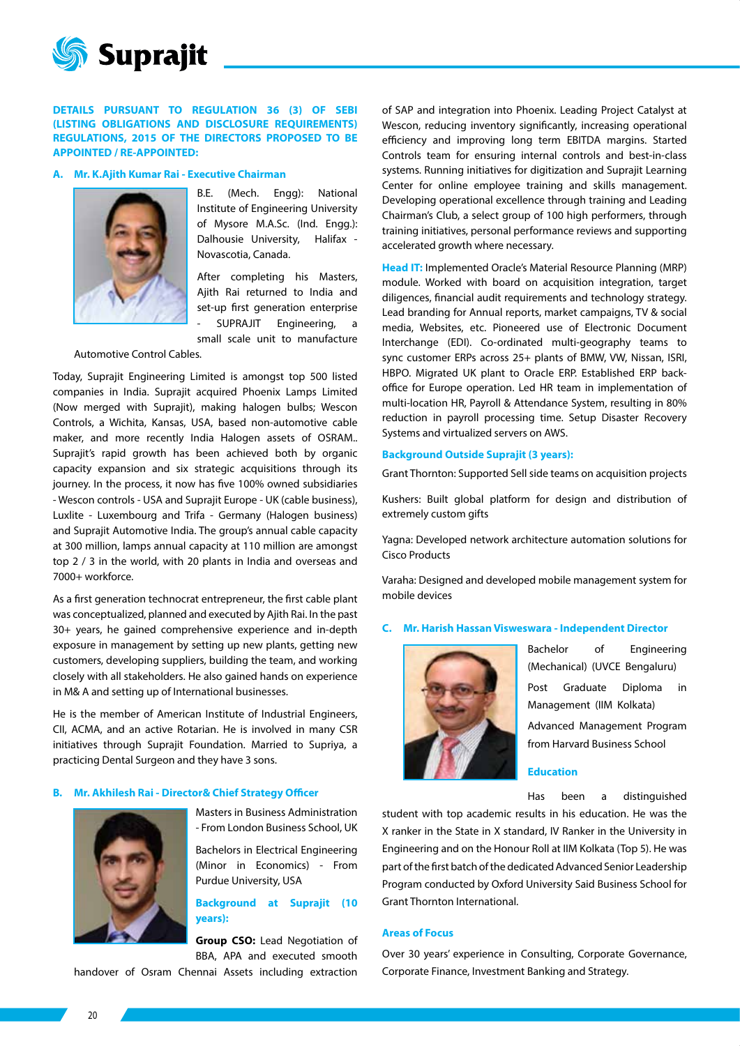

**DETAILS PURSUANT TO REGULATION 36 (3) OF SEBI (LISTING OBLIGATIONS AND DISCLOSURE REQUIREMENTS) REGULATIONS, 2015 OF THE DIRECTORS PROPOSED TO BE APPOINTED / RE-APPOINTED:**

### **A. Mr. K.Ajith Kumar Rai - Executive Chairman**



B.E. (Mech. Engg): National Institute of Engineering University of Mysore M.A.Sc. (Ind. Engg.): Dalhousie University, Halifax - Novascotia, Canada.

After completing his Masters, Ajith Rai returned to India and set-up first generation enterprise SUPRAJIT Engineering,

small scale unit to manufacture

## Automotive Control Cables.

Today, Suprajit Engineering Limited is amongst top 500 listed companies in India. Suprajit acquired Phoenix Lamps Limited (Now merged with Suprajit), making halogen bulbs; Wescon Controls, a Wichita, Kansas, USA, based non-automotive cable maker, and more recently India Halogen assets of OSRAM.. Suprajit's rapid growth has been achieved both by organic capacity expansion and six strategic acquisitions through its journey. In the process, it now has five 100% owned subsidiaries - Wescon controls - USA and Suprajit Europe - UK (cable business), Luxlite - Luxembourg and Trifa - Germany (Halogen business) and Suprajit Automotive India. The group's annual cable capacity at 300 million, lamps annual capacity at 110 million are amongst top 2 / 3 in the world, with 20 plants in India and overseas and 7000+ workforce.

As a first generation technocrat entrepreneur, the first cable plant was conceptualized, planned and executed by Ajith Rai. In the past 30+ years, he gained comprehensive experience and in-depth exposure in management by setting up new plants, getting new customers, developing suppliers, building the team, and working closely with all stakeholders. He also gained hands on experience in M& A and setting up of International businesses.

He is the member of American Institute of Industrial Engineers, CII, ACMA, and an active Rotarian. He is involved in many CSR initiatives through Suprajit Foundation. Married to Supriya, a practicing Dental Surgeon and they have 3 sons.

### **B. Mr. Akhilesh Rai - Director& Chief Strategy Officer**



Masters in Business Administration - From London Business School, UK

Bachelors in Electrical Engineering (Minor in Economics) - From Purdue University, USA

# **Background at Suprajit (10 years):**

**Group CSO:** Lead Negotiation of BBA, APA and executed smooth

handover of Osram Chennai Assets including extraction

of SAP and integration into Phoenix. Leading Project Catalyst at Wescon, reducing inventory significantly, increasing operational efficiency and improving long term EBITDA margins. Started Controls team for ensuring internal controls and best-in-class systems. Running initiatives for digitization and Suprajit Learning Center for online employee training and skills management. Developing operational excellence through training and Leading Chairman's Club, a select group of 100 high performers, through training initiatives, personal performance reviews and supporting accelerated growth where necessary.

**Head IT:** Implemented Oracle's Material Resource Planning (MRP) module. Worked with board on acquisition integration, target diligences, financial audit requirements and technology strategy. Lead branding for Annual reports, market campaigns, TV & social media, Websites, etc. Pioneered use of Electronic Document Interchange (EDI). Co-ordinated multi-geography teams to sync customer ERPs across 25+ plants of BMW, VW, Nissan, ISRI, HBPO. Migrated UK plant to Oracle ERP. Established ERP backoffice for Europe operation. Led HR team in implementation of multi-location HR, Payroll & Attendance System, resulting in 80% reduction in payroll processing time. Setup Disaster Recovery Systems and virtualized servers on AWS.

### **Background Outside Suprajit (3 years):**

Grant Thornton: Supported Sell side teams on acquisition projects

Kushers: Built global platform for design and distribution of extremely custom gifts

Yagna: Developed network architecture automation solutions for Cisco Products

Varaha: Designed and developed mobile management system for mobile devices

### **C. Mr. Harish Hassan Visweswara - Independent Director**



Bachelor of Engineering (Mechanical) (UVCE Bengaluru) Post Graduate Diploma in Management (IIM Kolkata) Advanced Management Program from Harvard Business School

# **Education**

Has been a distinguished

student with top academic results in his education. He was the X ranker in the State in X standard, IV Ranker in the University in Engineering and on the Honour Roll at IIM Kolkata (Top 5). He was part of the first batch of the dedicated Advanced Senior Leadership Program conducted by Oxford University Said Business School for Grant Thornton International.

#### **Areas of Focus**

Over 30 years' experience in Consulting, Corporate Governance, Corporate Finance, Investment Banking and Strategy.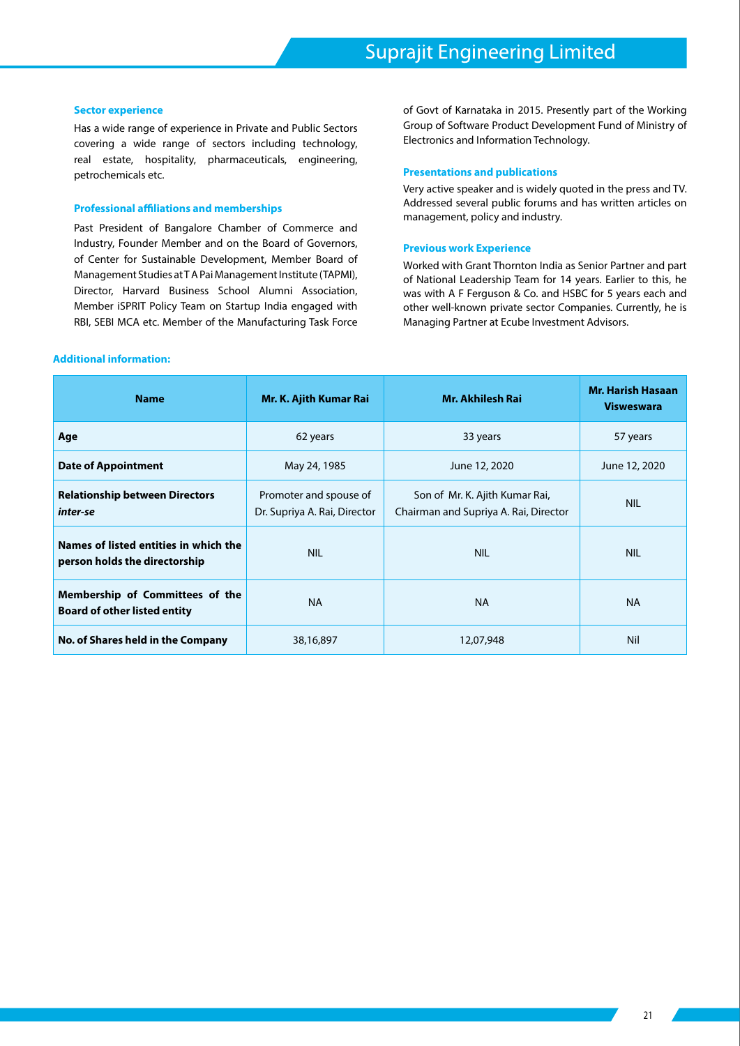#### **Sector experience**

Has a wide range of experience in Private and Public Sectors covering a wide range of sectors including technology, real estate, hospitality, pharmaceuticals, engineering, petrochemicals etc.

### **Professional affiliations and memberships**

Past President of Bangalore Chamber of Commerce and Industry, Founder Member and on the Board of Governors, of Center for Sustainable Development, Member Board of Management Studies at T A Pai Management Institute (TAPMI), Director, Harvard Business School Alumni Association, Member iSPRIT Policy Team on Startup India engaged with RBI, SEBI MCA etc. Member of the Manufacturing Task Force

## **Additional information:**

of Govt of Karnataka in 2015. Presently part of the Working Group of Software Product Development Fund of Ministry of Electronics and Information Technology.

### **Presentations and publications**

Very active speaker and is widely quoted in the press and TV. Addressed several public forums and has written articles on management, policy and industry.

### **Previous work Experience**

Worked with Grant Thornton India as Senior Partner and part of National Leadership Team for 14 years. Earlier to this, he was with A F Ferguson & Co. and HSBC for 5 years each and other well-known private sector Companies. Currently, he is Managing Partner at Ecube Investment Advisors.

| <b>Name</b>                                                            | Mr. K. Ajith Kumar Rai                                 | <b>Mr. Akhilesh Rai</b>                                                 | <b>Mr. Harish Hasaan</b><br><b>Visweswara</b> |
|------------------------------------------------------------------------|--------------------------------------------------------|-------------------------------------------------------------------------|-----------------------------------------------|
| Age                                                                    | 62 years                                               | 33 years                                                                | 57 years                                      |
| <b>Date of Appointment</b>                                             | May 24, 1985                                           | June 12, 2020                                                           | June 12, 2020                                 |
| <b>Relationship between Directors</b><br>inter-se                      | Promoter and spouse of<br>Dr. Supriya A. Rai, Director | Son of Mr. K. Ajith Kumar Rai,<br>Chairman and Supriya A. Rai, Director | <b>NIL</b>                                    |
| Names of listed entities in which the<br>person holds the directorship | <b>NIL</b>                                             | <b>NIL</b>                                                              | <b>NIL</b>                                    |
| Membership of Committees of the<br><b>Board of other listed entity</b> | <b>NA</b>                                              | <b>NA</b>                                                               | <b>NA</b>                                     |
| No. of Shares held in the Company                                      | 38,16,897                                              | 12,07,948                                                               | Nil                                           |